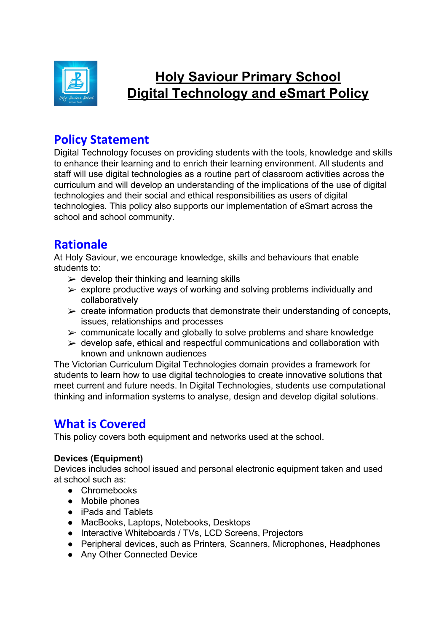

# **Holy Saviour Primary School Digital Technology and eSmart Policy**

# **Policy Statement**

Digital Technology focuses on providing students with the tools, knowledge and skills to enhance their learning and to enrich their learning environment. All students and staff will use digital technologies as a routine part of classroom activities across the curriculum and will develop an understanding of the implications of the use of digital technologies and their social and ethical responsibilities as users of digital technologies. This policy also supports our implementation of eSmart across the school and school community.

# **Rationale**

At Holy Saviour, we encourage knowledge, skills and behaviours that enable students to:

- $\geq$  develop their thinking and learning skills
- $\triangleright$  explore productive ways of working and solving problems individually and collaboratively
- $\triangleright$  create information products that demonstrate their understanding of concepts, issues, relationships and processes
- $\triangleright$  communicate locally and globally to solve problems and share knowledge
- $\triangleright$  develop safe, ethical and respectful communications and collaboration with known and unknown audiences

The Victorian Curriculum Digital Technologies domain provides a framework for students to learn how to use digital technologies to create innovative solutions that meet current and future needs. In Digital Technologies, students use computational thinking and information systems to analyse, design and develop digital solutions.

# **What is Covered**

This policy covers both equipment and networks used at the school.

### **Devices (Equipment)**

Devices includes school issued and personal electronic equipment taken and used at school such as:

- Chromebooks
- Mobile phones
- iPads and Tablets
- MacBooks, Laptops, Notebooks, Desktops
- Interactive Whiteboards / TVs, LCD Screens, Projectors
- Peripheral devices, such as Printers, Scanners, Microphones, Headphones
- Any Other Connected Device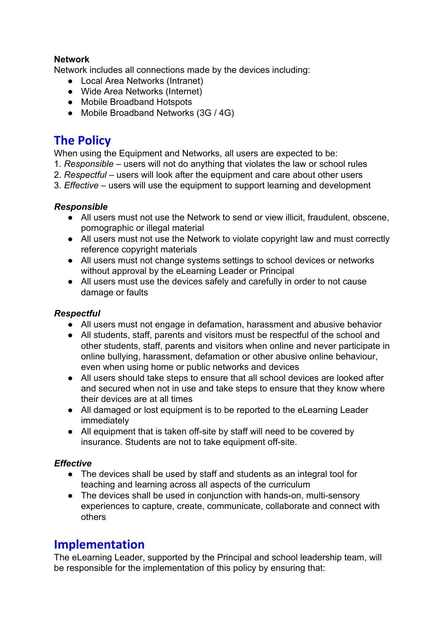### **Network**

Network includes all connections made by the devices including:

- Local Area Networks (Intranet)
- Wide Area Networks (Internet)
- Mobile Broadband Hotspots
- Mobile Broadband Networks (3G / 4G)

# **The Policy**

When using the Equipment and Networks, all users are expected to be:

- 1. *Responsible* users will not do anything that violates the law or school rules
- 2. *Respectful*  users will look after the equipment and care about other users
- 3. *Effective* users will use the equipment to support learning and development

### *Responsible*

- All users must not use the Network to send or view illicit, fraudulent, obscene, pornographic or illegal material
- All users must not use the Network to violate copyright law and must correctly reference copyright materials
- All users must not change systems settings to school devices or networks without approval by the eLearning Leader or Principal
- All users must use the devices safely and carefully in order to not cause damage or faults

### *Respectful*

- All users must not engage in defamation, harassment and abusive behavior
- All students, staff, parents and visitors must be respectful of the school and other students, staff, parents and visitors when online and never participate in online bullying, harassment, defamation or other abusive online behaviour, even when using home or public networks and devices
- All users should take steps to ensure that all school devices are looked after and secured when not in use and take steps to ensure that they know where their devices are at all times
- All damaged or lost equipment is to be reported to the eLearning Leader immediately
- All equipment that is taken off-site by staff will need to be covered by insurance. Students are not to take equipment off-site.

### *Effective*

- The devices shall be used by staff and students as an integral tool for teaching and learning across all aspects of the curriculum
- The devices shall be used in conjunction with hands-on, multi-sensory experiences to capture, create, communicate, collaborate and connect with others

## **Implementation**

The eLearning Leader, supported by the Principal and school leadership team, will be responsible for the implementation of this policy by ensuring that: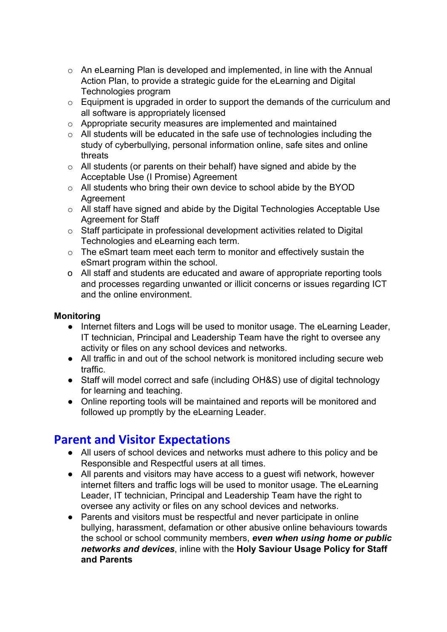- o An eLearning Plan is developed and implemented, in line with the Annual Action Plan, to provide a strategic guide for the eLearning and Digital Technologies program
- $\circ$  Equipment is upgraded in order to support the demands of the curriculum and all software is appropriately licensed
- o Appropriate security measures are implemented and maintained
- $\circ$  All students will be educated in the safe use of technologies including the study of cyberbullying, personal information online, safe sites and online threats
- o All students (or parents on their behalf) have signed and abide by the Acceptable Use (I Promise) Agreement
- o All students who bring their own device to school abide by the BYOD **Agreement**
- o All staff have signed and abide by the Digital Technologies Acceptable Use Agreement for Staff
- o Staff participate in professional development activities related to Digital Technologies and eLearning each term.
- o The eSmart team meet each term to monitor and effectively sustain the eSmart program within the school.
- o All staff and students are educated and aware of appropriate reporting tools and processes regarding unwanted or illicit concerns or issues regarding ICT and the online environment.

### **Monitoring**

- Internet filters and Logs will be used to monitor usage. The eLearning Leader, IT technician, Principal and Leadership Team have the right to oversee any activity or files on any school devices and networks.
- All traffic in and out of the school network is monitored including secure web traffic.
- Staff will model correct and safe (including OH&S) use of digital technology for learning and teaching.
- Online reporting tools will be maintained and reports will be monitored and followed up promptly by the eLearning Leader.

# **Parent and Visitor Expectations**

- All users of school devices and networks must adhere to this policy and be Responsible and Respectful users at all times.
- All parents and visitors may have access to a guest wifi network, however internet filters and traffic logs will be used to monitor usage. The eLearning Leader, IT technician, Principal and Leadership Team have the right to oversee any activity or files on any school devices and networks.
- Parents and visitors must be respectful and never participate in online bullying, harassment, defamation or other abusive online behaviours towards the school or school community members, *even when using home or public networks and devices*, inline with the **Holy Saviour Usage Policy for Staff and Parents**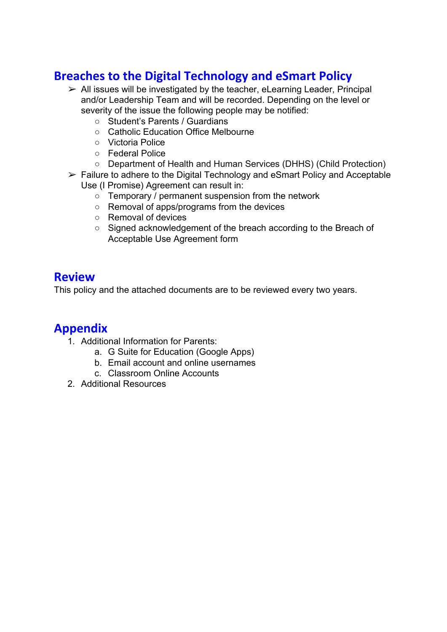# **Breaches to the Digital Technology and eSmart Policy**

- $\geq$  All issues will be investigated by the teacher, eLearning Leader, Principal and/or Leadership Team and will be recorded. Depending on the level or severity of the issue the following people may be notified:
	- Student's Parents / Guardians
	- Catholic Education Office Melbourne
	- Victoria Police
	- Federal Police
	- Department of Health and Human Services (DHHS) (Child Protection)
- $\triangleright$  Failure to adhere to the Digital Technology and eSmart Policy and Acceptable Use (I Promise) Agreement can result in:
	- Temporary / permanent suspension from the network
	- Removal of apps/programs from the devices
	- Removal of devices
	- Signed acknowledgement of the breach according to the Breach of Acceptable Use Agreement form

# **Review**

This policy and the attached documents are to be reviewed every two years.

# **Appendix**

- 1. Additional Information for Parents:
	- a. G Suite for Education (Google Apps)
	- b. Email account and online usernames
	- c. Classroom Online Accounts
- 2. Additional Resources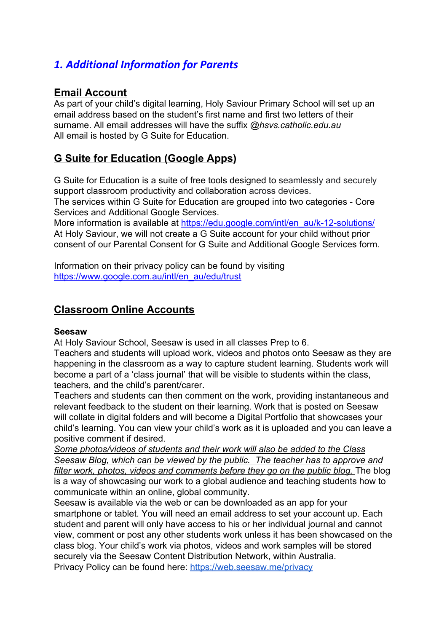# *1. Additional Information for Parents*

## **Email Account**

As part of your child's digital learning, Holy Saviour Primary School will set up an email address based on the student's first name and first two letters of their surname. All email addresses will have the suffix *@hsvs.catholic.edu.au* All email is hosted by G Suite for Education.

## **G Suite for Education (Google Apps)**

G Suite for Education is a suite of free tools designed to seamlessly and securely support classroom productivity and collaboration across devices.

The services within G Suite for Education are grouped into two categories - Core Services and Additional Google Services.

More information is available at [https://edu.google.com/intl/en\\_au/k-12-solutions/](https://edu.google.com/intl/en_au/k-12-solutions/) At Holy Saviour, we will not create a G Suite account for your child without prior consent of our Parental Consent for G Suite and Additional Google Services form.

Information on their privacy policy can be found by visiting [https://www.google.com.au/intl/en\\_au/edu/trust](https://www.google.com.au/intl/en_au/edu/trust/)

## **Classroom Online Accounts**

#### **Seesaw**

At Holy Saviour School, Seesaw is used in all classes Prep to 6.

Teachers and students will upload work, videos and photos onto Seesaw as they are happening in the classroom as a way to capture student learning. Students work will become a part of a 'class journal' that will be visible to students within the class, teachers, and the child's parent/carer.

Teachers and students can then comment on the work, providing instantaneous and relevant feedback to the student on their learning. Work that is posted on Seesaw will collate in digital folders and will become a Digital Portfolio that showcases your child's learning. You can view your child's work as it is uploaded and you can leave a positive comment if desired.

*Some photos/videos of students and their work will also be added to the Class Seesaw Blog, which can be viewed by the public. The teacher has to approve and filter work, photos, videos and comments before they go on the public blog.* The blog is a way of showcasing our work to a global audience and teaching students how to communicate within an online, global community.

Seesaw is available via the web or can be downloaded as an app for your smartphone or tablet. You will need an email address to set your account up. Each student and parent will only have access to his or her individual journal and cannot view, comment or post any other students work unless it has been showcased on the class blog. Your child's work via photos, videos and work samples will be stored securely via the Seesaw Content Distribution Network, within Australia. Privacy Policy can be found here: <https://web.seesaw.me/privacy>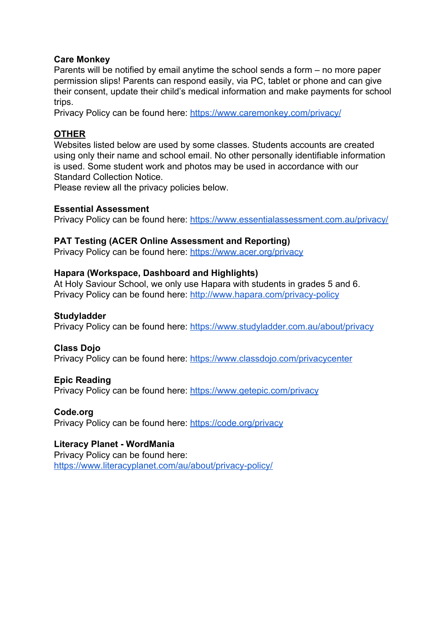#### **Care Monkey**

Parents will be notified by email anytime the school sends a form – no more paper permission slips! Parents can respond easily, via PC, tablet or phone and can give their consent, update their child's medical information and make payments for school trips.

Privacy Policy can be found here: <https://www.caremonkey.com/privacy/>

#### **OTHER**

Websites listed below are used by some classes. Students accounts are created using only their name and school email. No other personally identifiable information is used. Some student work and photos may be used in accordance with our Standard Collection Notice.

Please review all the privacy policies below.

#### **Essential Assessment**

Privacy Policy can be found here: <https://www.essentialassessment.com.au/privacy/>

#### **PAT Testing (ACER Online Assessment and Reporting)**

Privacy Policy can be found here: <https://www.acer.org/privacy>

#### **Hapara (Workspace, Dashboard and Highlights)**

At Holy Saviour School, we only use Hapara with students in grades 5 and 6. Privacy Policy can be found here: <http://www.hapara.com/privacy-policy>

#### **Studyladder**

Privacy Policy can be found here: https://www.studyladder.com.au/about/privacv

#### **Class Dojo**

Privacy Policy can be found here: <https://www.classdojo.com/privacycenter>

#### **Epic Reading**

Privacy Policy can be found here: <https://www.getepic.com/privacy>

#### **Code.org**

Privacy Policy can be found here: <https://code.org/privacy>

### **Literacy Planet - WordMania**

Privacy Policy can be found here: <https://www.literacyplanet.com/au/about/privacy-policy/>